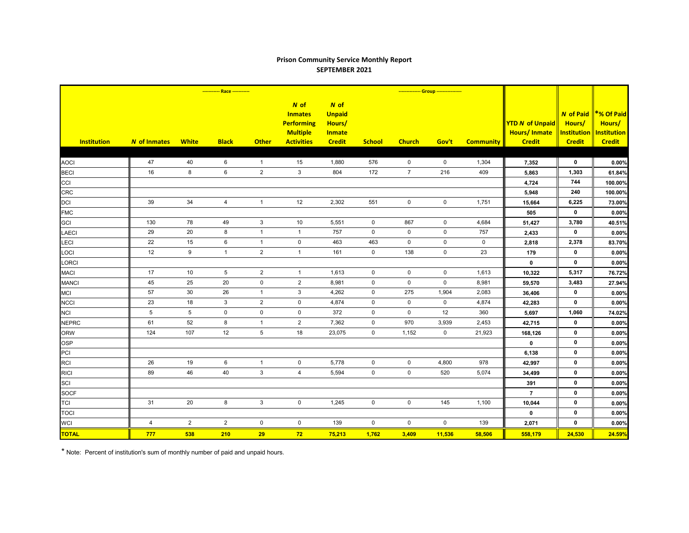## **Prison Community Service Monthly Report SEPTEMBER 2021**

|                    | ----------- Race ----------- |                 |                 |                |                                                                                       |                                                                   |                     | -------------- Group ---------------- |             |                  |                                                                |                                                                   |                                                             |
|--------------------|------------------------------|-----------------|-----------------|----------------|---------------------------------------------------------------------------------------|-------------------------------------------------------------------|---------------------|---------------------------------------|-------------|------------------|----------------------------------------------------------------|-------------------------------------------------------------------|-------------------------------------------------------------|
| <b>Institution</b> | N of Inmates                 | <b>White</b>    | <b>Black</b>    | <b>Other</b>   | $N$ of<br><b>Inmates</b><br><b>Performing</b><br><b>Multiple</b><br><b>Activities</b> | N of<br><b>Unpaid</b><br>Hours/<br><b>Inmate</b><br><b>Credit</b> | <b>School</b>       | <b>Church</b>                         | Gov't       | <b>Community</b> | <b>YTD N of Unpaid</b><br><b>Hours/Inmate</b><br><b>Credit</b> | <b>N</b> of Paid<br>Hours/<br><b>Institution</b><br><b>Credit</b> | *% Of Paid<br>Hours/<br><b>Institution</b><br><b>Credit</b> |
|                    |                              |                 |                 |                |                                                                                       |                                                                   |                     |                                       |             |                  |                                                                |                                                                   |                                                             |
| <b>AOCI</b>        | 47                           | 40              | 6               | $\overline{1}$ | 15                                                                                    | 1,880                                                             | 576                 | $\mathbf 0$                           | $\mathbf 0$ | 1,304            | 7,352                                                          | $\mathbf 0$                                                       | 0.00%                                                       |
| <b>BECI</b>        | 16                           | 8               | 6               | $\overline{2}$ | $\mathbf{3}$                                                                          | 804                                                               | 172                 | $\overline{7}$                        | 216         | 409              | 5,863                                                          | 1,303                                                             | 61.84%                                                      |
| CCI                |                              |                 |                 |                |                                                                                       |                                                                   |                     |                                       |             |                  | 4,724                                                          | 744                                                               | 100.00%                                                     |
| <b>CRC</b>         |                              |                 |                 |                |                                                                                       |                                                                   |                     |                                       |             |                  | 5,948                                                          | 240                                                               | 100.00%                                                     |
| <b>DCI</b>         | 39                           | 34              | $\overline{4}$  | $\mathbf{1}$   | 12                                                                                    | 2,302                                                             | 551                 | $\mathbf 0$                           | $\mathbf 0$ | 1,751            | 15,664                                                         | 6,225                                                             | 73.00%                                                      |
| <b>FMC</b>         |                              |                 |                 |                |                                                                                       |                                                                   |                     |                                       |             |                  | 505                                                            | $\mathbf 0$                                                       | 0.00%                                                       |
| <b>GCI</b>         | 130                          | 78              | 49              | $\mathbf{3}$   | 10                                                                                    | 5,551                                                             | $\mathbf 0$         | 867                                   | $\mathsf 0$ | 4,684            | 51,427                                                         | 3,780                                                             | 40.51%                                                      |
| <b>LAECI</b>       | 29                           | 20              | 8               | $\mathbf{1}$   | $\mathbf{1}$                                                                          | 757                                                               | $\mathbf 0$         | 0                                     | $\mathbf 0$ | 757              | 2,433                                                          | $\mathbf 0$                                                       | 0.00%                                                       |
| LECI               | 22                           | 15              | $\,6\,$         | $\overline{1}$ | $\mathsf{O}\xspace$                                                                   | 463                                                               | 463                 | $\mathsf 0$                           | $\pmb{0}$   | $\mathbf 0$      | 2,818                                                          | 2,378                                                             | 83.70%                                                      |
| LOCI               | 12                           | 9               | $\mathbf{1}$    | $\mathbf{2}$   | $\mathbf{1}$                                                                          | 161                                                               | $\mathsf{O}\xspace$ | 138                                   | $\mathbf 0$ | 23               | 179                                                            | $\mathbf 0$                                                       | 0.00%                                                       |
| <b>LORCI</b>       |                              |                 |                 |                |                                                                                       |                                                                   |                     |                                       |             |                  | $\mathbf 0$                                                    | $\mathbf 0$                                                       | 0.00%                                                       |
| <b>MACI</b>        | 17                           | 10              | $5\phantom{.0}$ | $\mathbf{2}$   | $\mathbf{1}$                                                                          | 1,613                                                             | $\mathbf 0$         | $\mathbf 0$                           | $\mathbf 0$ | 1,613            | 10,322                                                         | 5,317                                                             | 76.72%                                                      |
| <b>MANCI</b>       | 45                           | 25              | 20              | $\mathbf 0$    | $\overline{2}$                                                                        | 8,981                                                             | $\mathbf 0$         | $\mathbf 0$                           | $\mathbf 0$ | 8,981            | 59,570                                                         | 3,483                                                             | 27.94%                                                      |
| <b>MCI</b>         | 57                           | 30              | 26              | $\overline{1}$ | $\mathbf{3}$                                                                          | 4,262                                                             | $\mathbf 0$         | 275                                   | 1,904       | 2,083            | 36,406                                                         | $\mathbf 0$                                                       | 0.00%                                                       |
| <b>NCCI</b>        | 23                           | 18              | $\mathbf{3}$    | $\sqrt{2}$     | $\mathbf 0$                                                                           | 4,874                                                             | $\mathbf 0$         | $\mathbf 0$                           | $\mathbf 0$ | 4,874            | 42,283                                                         | $\mathbf 0$                                                       | 0.00%                                                       |
| <b>NCI</b>         | 5                            | $5\phantom{.0}$ | $\mathbf 0$     | $\pmb{0}$      | $\mathsf{O}\xspace$                                                                   | 372                                                               | $\mathbf 0$         | $\mathbf 0$                           | 12          | 360              | 5,697                                                          | 1,060                                                             | 74.02%                                                      |
| <b>NEPRC</b>       | 61                           | 52              | 8               | $\mathbf{1}$   | $\mathbf 2$                                                                           | 7,362                                                             | 0                   | 970                                   | 3,939       | 2,453            | 42,715                                                         | 0                                                                 | 0.00%                                                       |
| <b>ORW</b>         | 124                          | 107             | 12              | $\,$ 5 $\,$    | 18                                                                                    | 23,075                                                            | $\mathbf 0$         | 1,152                                 | $\mathbf 0$ | 21,923           | 168,126                                                        | $\mathbf 0$                                                       | 0.00%                                                       |
| <b>OSP</b>         |                              |                 |                 |                |                                                                                       |                                                                   |                     |                                       |             |                  | $\mathbf 0$                                                    | $\mathbf 0$                                                       | 0.00%                                                       |
| PCI                |                              |                 |                 |                |                                                                                       |                                                                   |                     |                                       |             |                  | 6,138                                                          | $\mathbf 0$                                                       | 0.00%                                                       |
| <b>RCI</b>         | 26                           | $19$            | 6               | $\mathbf{1}$   | $\mathbf 0$                                                                           | 5,778                                                             | $\mathbf 0$         | $\mathbf 0$                           | 4,800       | 978              | 42,997                                                         | $\mathbf 0$                                                       | 0.00%                                                       |
| <b>RICI</b>        | 89                           | 46              | 40              | $\mathbf{3}$   | $\overline{4}$                                                                        | 5,594                                                             | $\mathbf 0$         | $\mathbf 0$                           | 520         | 5,074            | 34,499                                                         | $\mathbf 0$                                                       | 0.00%                                                       |
| SCI                |                              |                 |                 |                |                                                                                       |                                                                   |                     |                                       |             |                  | 391                                                            | 0                                                                 | 0.00%                                                       |
| <b>SOCF</b>        |                              |                 |                 |                |                                                                                       |                                                                   |                     |                                       |             |                  | $\overline{7}$                                                 | $\mathbf 0$                                                       | 0.00%                                                       |
| <b>TCI</b>         | 31                           | 20              | 8               | 3              | $\mathbf 0$                                                                           | 1,245                                                             | $\mathbf 0$         | $\mathbf 0$                           | 145         | 1,100            | 10,044                                                         | $\mathbf 0$                                                       | 0.00%                                                       |
| <b>TOCI</b>        |                              |                 |                 |                |                                                                                       |                                                                   |                     |                                       |             |                  | $\mathbf 0$                                                    | $\mathbf 0$                                                       | 0.00%                                                       |
| <b>WCI</b>         | 4                            | $\overline{2}$  | $\overline{2}$  | $\pmb{0}$      | $\mathbf 0$                                                                           | 139                                                               | $\mathsf{O}\xspace$ | $\mathbf 0$                           | $\mathbf 0$ | 139              | 2,071                                                          | $\mathbf 0$                                                       | 0.00%                                                       |
| <b>TOTAL</b>       | 777                          | 538             | 210             | 29             | 72                                                                                    | 75,213                                                            | 1,762               | 3,409                                 | 11,536      | 58,506           | 558,179                                                        | 24,530                                                            | 24.59%                                                      |

\* Note: Percent of institution's sum of monthly number of paid and unpaid hours.